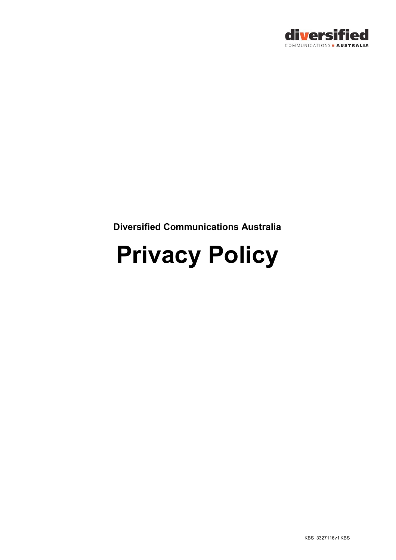

**Diversified Communications Australia**

# **Privacy Policy**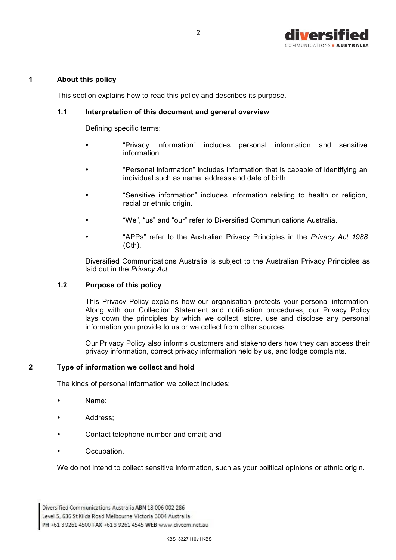

### **1 About this policy**

This section explains how to read this policy and describes its purpose.

2

# **1.1 Interpretation of this document and general overview**

Defining specific terms:

- "Privacy information" includes personal information and sensitive information.
- "Personal information" includes information that is capable of identifying an individual such as name, address and date of birth.
- "Sensitive information" includes information relating to health or religion, racial or ethnic origin.
- "We", "us" and "our" refer to Diversified Communications Australia.
- "APPs" refer to the Australian Privacy Principles in the *Privacy Act 1988*  $(Cth)$ .

Diversified Communications Australia is subject to the Australian Privacy Principles as laid out in the *Privacy Act*.

## **1.2 Purpose of this policy**

This Privacy Policy explains how our organisation protects your personal information. Along with our Collection Statement and notification procedures, our Privacy Policy lays down the principles by which we collect, store, use and disclose any personal information you provide to us or we collect from other sources.

Our Privacy Policy also informs customers and stakeholders how they can access their privacy information, correct privacy information held by us, and lodge complaints.

# **2 Type of information we collect and hold**

The kinds of personal information we collect includes:

- Name:
- Address;
- Contact telephone number and email; and
- Occupation.

We do not intend to collect sensitive information, such as your political opinions or ethnic origin.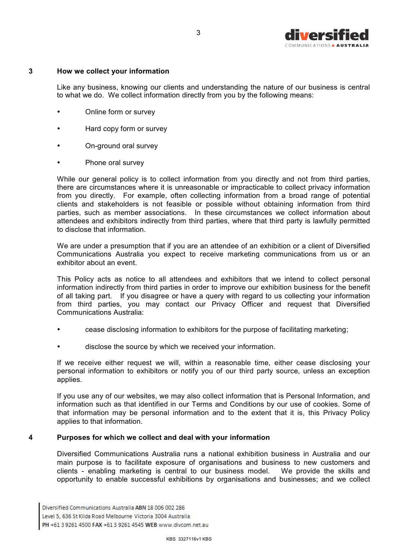

### **3 How we collect your information**

Like any business, knowing our clients and understanding the nature of our business is central to what we do. We collect information directly from you by the following means:

- Online form or survey
- Hard copy form or survey
- On-ground oral survey
- Phone oral survey

While our general policy is to collect information from you directly and not from third parties, there are circumstances where it is unreasonable or impracticable to collect privacy information from you directly. For example, often collecting information from a broad range of potential clients and stakeholders is not feasible or possible without obtaining information from third parties, such as member associations. In these circumstances we collect information about attendees and exhibitors indirectly from third parties, where that third party is lawfully permitted to disclose that information.

We are under a presumption that if you are an attendee of an exhibition or a client of Diversified Communications Australia you expect to receive marketing communications from us or an exhibitor about an event.

This Policy acts as notice to all attendees and exhibitors that we intend to collect personal information indirectly from third parties in order to improve our exhibition business for the benefit of all taking part. If you disagree or have a query with regard to us collecting your information from third parties, you may contact our Privacy Officer and request that Diversified Communications Australia:

- cease disclosing information to exhibitors for the purpose of facilitating marketing;
- disclose the source by which we received your information.

If we receive either request we will, within a reasonable time, either cease disclosing your personal information to exhibitors or notify you of our third party source, unless an exception applies.

If you use any of our websites, we may also collect information that is Personal Information, and information such as that identified in our Terms and Conditions by our use of cookies. Some of that information may be personal information and to the extent that it is, this Privacy Policy applies to that information.

### **4 Purposes for which we collect and deal with your information**

Diversified Communications Australia runs a national exhibition business in Australia and our main purpose is to facilitate exposure of organisations and business to new customers and clients - enabling marketing is central to our business model. We provide the skills and opportunity to enable successful exhibitions by organisations and businesses; and we collect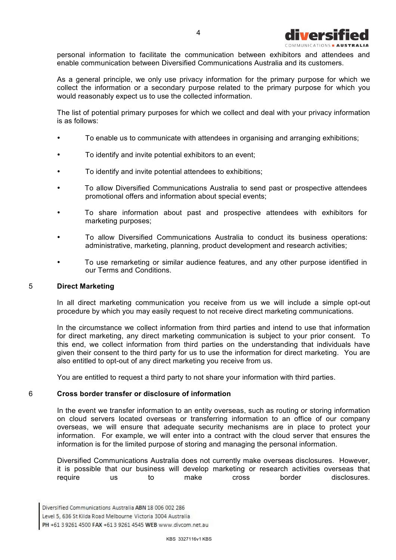

personal information to facilitate the communication between exhibitors and attendees and enable communication between Diversified Communications Australia and its customers.

As a general principle, we only use privacy information for the primary purpose for which we collect the information or a secondary purpose related to the primary purpose for which you would reasonably expect us to use the collected information.

The list of potential primary purposes for which we collect and deal with your privacy information is as follows:

- To enable us to communicate with attendees in organising and arranging exhibitions;
- To identify and invite potential exhibitors to an event;
- To identify and invite potential attendees to exhibitions;
- To allow Diversified Communications Australia to send past or prospective attendees promotional offers and information about special events;
- To share information about past and prospective attendees with exhibitors for marketing purposes;
- To allow Diversified Communications Australia to conduct its business operations: administrative, marketing, planning, product development and research activities;
- To use remarketing or similar audience features, and any other purpose identified in our Terms and Conditions.

### 5 **Direct Marketing**

In all direct marketing communication you receive from us we will include a simple opt-out procedure by which you may easily request to not receive direct marketing communications.

In the circumstance we collect information from third parties and intend to use that information for direct marketing, any direct marketing communication is subject to your prior consent. To this end, we collect information from third parties on the understanding that individuals have given their consent to the third party for us to use the information for direct marketing. You are also entitled to opt-out of any direct marketing you receive from us.

You are entitled to request a third party to not share your information with third parties.

#### 6 **Cross border transfer or disclosure of information**

In the event we transfer information to an entity overseas, such as routing or storing information on cloud servers located overseas or transferring information to an office of our company overseas, we will ensure that adequate security mechanisms are in place to protect your information. For example, we will enter into a contract with the cloud server that ensures the information is for the limited purpose of storing and managing the personal information.

Diversified Communications Australia does not currently make overseas disclosures. However, it is possible that our business will develop marketing or research activities overseas that require us to make cross border disclosures.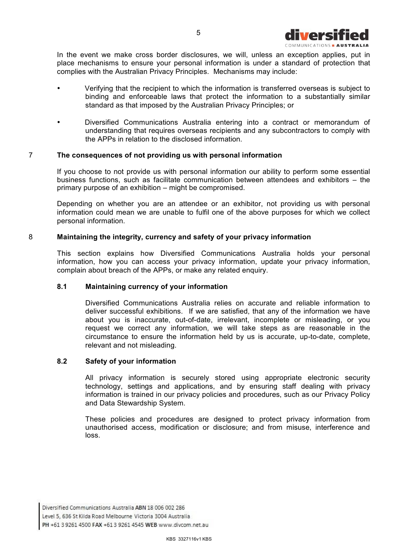

In the event we make cross border disclosures, we will, unless an exception applies, put in place mechanisms to ensure your personal information is under a standard of protection that complies with the Australian Privacy Principles. Mechanisms may include:

- Verifying that the recipient to which the information is transferred overseas is subject to binding and enforceable laws that protect the information to a substantially similar standard as that imposed by the Australian Privacy Principles; or
- Diversified Communications Australia entering into a contract or memorandum of understanding that requires overseas recipients and any subcontractors to comply with the APPs in relation to the disclosed information.

### 7 **The consequences of not providing us with personal information**

If you choose to not provide us with personal information our ability to perform some essential business functions, such as facilitate communication between attendees and exhibitors – the primary purpose of an exhibition – might be compromised.

Depending on whether you are an attendee or an exhibitor, not providing us with personal information could mean we are unable to fulfil one of the above purposes for which we collect personal information.

#### 8 **Maintaining the integrity, currency and safety of your privacy information**

This section explains how Diversified Communications Australia holds your personal information, how you can access your privacy information, update your privacy information, complain about breach of the APPs, or make any related enquiry.

### **8.1 Maintaining currency of your information**

Diversified Communications Australia relies on accurate and reliable information to deliver successful exhibitions. If we are satisfied, that any of the information we have about you is inaccurate, out-of-date, irrelevant, incomplete or misleading, or you request we correct any information, we will take steps as are reasonable in the circumstance to ensure the information held by us is accurate, up-to-date, complete, relevant and not misleading.

## **8.2 Safety of your information**

All privacy information is securely stored using appropriate electronic security technology, settings and applications, and by ensuring staff dealing with privacy information is trained in our privacy policies and procedures, such as our Privacy Policy and Data Stewardship System.

These policies and procedures are designed to protect privacy information from unauthorised access, modification or disclosure; and from misuse, interference and loss.